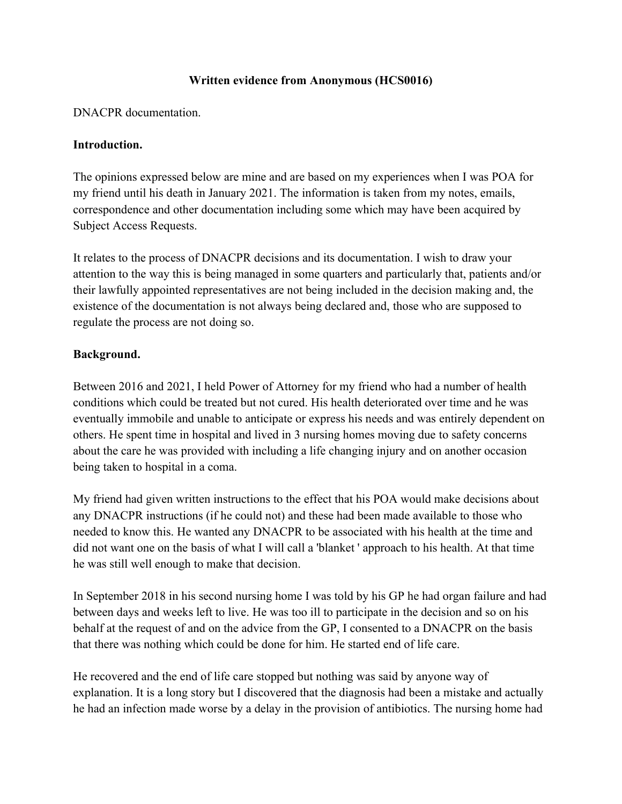## **Written evidence from Anonymous (HCS0016)**

DNACPR documentation.

## **Introduction.**

The opinions expressed below are mine and are based on my experiences when I was POA for my friend until his death in January 2021. The information is taken from my notes, emails, correspondence and other documentation including some which may have been acquired by Subject Access Requests.

It relates to the process of DNACPR decisions and its documentation. I wish to draw your attention to the way this is being managed in some quarters and particularly that, patients and/or their lawfully appointed representatives are not being included in the decision making and, the existence of the documentation is not always being declared and, those who are supposed to regulate the process are not doing so.

## **Background.**

Between 2016 and 2021, I held Power of Attorney for my friend who had a number of health conditions which could be treated but not cured. His health deteriorated over time and he was eventually immobile and unable to anticipate or express his needs and was entirely dependent on others. He spent time in hospital and lived in 3 nursing homes moving due to safety concerns about the care he was provided with including a life changing injury and on another occasion being taken to hospital in a coma.

My friend had given written instructions to the effect that his POA would make decisions about any DNACPR instructions (if he could not) and these had been made available to those who needed to know this. He wanted any DNACPR to be associated with his health at the time and did not want one on the basis of what I will call a 'blanket ' approach to his health. At that time he was still well enough to make that decision.

In September 2018 in his second nursing home I was told by his GP he had organ failure and had between days and weeks left to live. He was too ill to participate in the decision and so on his behalf at the request of and on the advice from the GP, I consented to a DNACPR on the basis that there was nothing which could be done for him. He started end of life care.

He recovered and the end of life care stopped but nothing was said by anyone way of explanation. It is a long story but I discovered that the diagnosis had been a mistake and actually he had an infection made worse by a delay in the provision of antibiotics. The nursing home had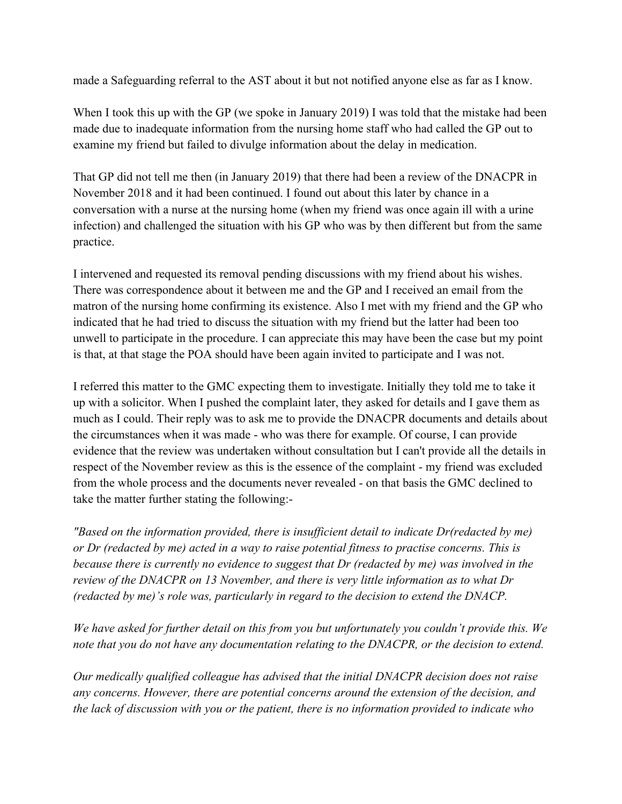made a Safeguarding referral to the AST about it but not notified anyone else as far as I know.

When I took this up with the GP (we spoke in January 2019) I was told that the mistake had been made due to inadequate information from the nursing home staff who had called the GP out to examine my friend but failed to divulge information about the delay in medication.

That GP did not tell me then (in January 2019) that there had been a review of the DNACPR in November 2018 and it had been continued. I found out about this later by chance in a conversation with a nurse at the nursing home (when my friend was once again ill with a urine infection) and challenged the situation with his GP who was by then different but from the same practice.

I intervened and requested its removal pending discussions with my friend about his wishes. There was correspondence about it between me and the GP and I received an email from the matron of the nursing home confirming its existence. Also I met with my friend and the GP who indicated that he had tried to discuss the situation with my friend but the latter had been too unwell to participate in the procedure. I can appreciate this may have been the case but my point is that, at that stage the POA should have been again invited to participate and I was not.

I referred this matter to the GMC expecting them to investigate. Initially they told me to take it up with a solicitor. When I pushed the complaint later, they asked for details and I gave them as much as I could. Their reply was to ask me to provide the DNACPR documents and details about the circumstances when it was made - who was there for example. Of course, I can provide evidence that the review was undertaken without consultation but I can't provide all the details in respect of the November review as this is the essence of the complaint - my friend was excluded from the whole process and the documents never revealed - on that basis the GMC declined to take the matter further stating the following:-

*"Based on the information provided, there is insufficient detail to indicate Dr(redacted by me) or Dr (redacted by me) acted in a way to raise potential fitness to practise concerns. This is because there is currently no evidence to suggest that Dr (redacted by me) was involved in the review of the DNACPR on 13 November, and there is very little information as to what Dr (redacted by me)'s role was, particularly in regard to the decision to extend the DNACP.*

*We have asked for further detail on this from you but unfortunately you couldn't provide this. We note that you do not have any documentation relating to the DNACPR, or the decision to extend.*

*Our medically qualified colleague has advised that the initial DNACPR decision does not raise any concerns. However, there are potential concerns around the extension of the decision, and the lack of discussion with you or the patient, there is no information provided to indicate who*